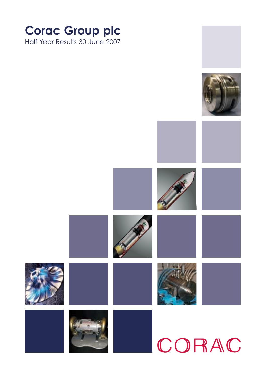







# CORAC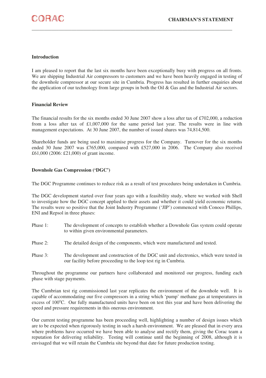## **Introduction**

I am pleased to report that the last six months have been exceptionally busy with progress on all fronts. We are shipping Industrial Air compressors to customers and we have been heavily engaged in testing of the downhole compressor at our secure site in Cumbria. Progress has resulted in further enquiries about the application of our technology from large groups in both the Oil & Gas and the Industrial Air sectors.

\_\_\_\_\_\_\_\_\_\_\_\_\_\_\_\_\_\_\_\_\_\_\_\_\_\_\_\_\_\_\_\_\_\_\_\_\_\_\_\_\_\_\_\_\_\_\_\_\_\_\_\_\_\_\_\_\_\_\_\_\_\_\_\_\_\_\_\_\_\_\_\_\_\_\_\_\_\_\_\_\_

## **Financial Review**

The financial results for the six months ended 30 June 2007 show a loss after tax of £702,000, a reduction from a loss after tax of  $£1,007,000$  for the same period last year. The results were in line with management expectations. At 30 June 2007, the number of issued shares was 74,814,500.

Shareholder funds are being used to maximise progress for the Company. Turnover for the six months ended 30 June 2007 was £765,000, compared with £527,000 in 2006. The Company also received £61,000 (2006: £21,000) of grant income.

## **Downhole Gas Compression ('DGC')**

The DGC Programme continues to reduce risk as a result of test procedures being undertaken in Cumbria.

The DGC development started over four years ago with a feasibility study, where we worked with Shell to investigate how the DGC concept applied to their assets and whether it could yield economic returns. The results were so positive that the Joint Industry Programme ('JIP') commenced with Conoco Phillips, ENI and Repsol in three phases:

- Phase 1: The development of concepts to establish whether a Downhole Gas system could operate to within given environmental parameters.
- Phase 2: The detailed design of the components, which were manufactured and tested.
- Phase 3: The development and construction of the DGC unit and electronics, which were tested in our facility before proceeding to the loop test rig in Cumbria.

Throughout the programme our partners have collaborated and monitored our progress, funding each phase with stage payments.

The Cumbrian test rig commissioned last year replicates the environment of the downhole well. It is capable of accommodating our five compressors in a string which 'pump' methane gas at temperatures in excess of 100°C. Our fully manufactured units have been on test this year and have been delivering the speed and pressure requirements in this onerous environment.

Our current testing programme has been proceeding well, highlighting a number of design issues which are to be expected when rigorously testing in such a harsh environment. We are pleased that in every area where problems have occurred we have been able to analyse and rectify them, giving the Corac team a reputation for delivering reliability. Testing will continue until the beginning of 2008, although it is envisaged that we will retain the Cumbria site beyond that date for future production testing.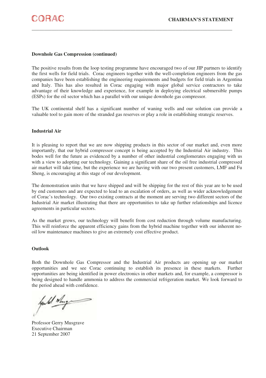## **Downhole Gas Compression (continued)**

The positive results from the loop testing programme have encouraged two of our JIP partners to identify the first wells for field trials. Corac engineers together with the well-completion engineers from the gas companies have been establishing the engineering requirements and budgets for field trials in Argentina and Italy. This has also resulted in Corac engaging with major global service contractors to take advantage of their knowledge and experience, for example in deploying electrical submersible pumps (ESPs) for the oil sector which has a parallel with our unique downhole gas compressor.

\_\_\_\_\_\_\_\_\_\_\_\_\_\_\_\_\_\_\_\_\_\_\_\_\_\_\_\_\_\_\_\_\_\_\_\_\_\_\_\_\_\_\_\_\_\_\_\_\_\_\_\_\_\_\_\_\_\_\_\_\_\_\_\_\_\_\_\_\_\_\_\_\_\_\_\_\_\_\_\_\_

The UK continental shelf has a significant number of waning wells and our solution can provide a valuable tool to gain more of the stranded gas reserves or play a role in establishing strategic reserves.

## **Industrial Air**

It is pleasing to report that we are now shipping products in this sector of our market and, even more importantly, that our hybrid compressor concept is being accepted by the Industrial Air industry. This bodes well for the future as evidenced by a number of other industrial conglomerates engaging with us with a view to adopting our technology. Gaining a significant share of the oil free industrial compressed air market will take time, but the experience we are having with our two present customers, LMF and Fu Sheng, is encouraging at this stage of our development.

The demonstration units that we have shipped and will be shipping for the rest of this year are to be used by end customers and are expected to lead to an escalation of orders, as well as wider acknowledgement of Corac's technology. Our two existing contracts at the moment are serving two different sectors of the Industrial Air market illustrating that there are opportunities to take up further relationships and licence agreements in particular sectors.

As the market grows, our technology will benefit from cost reduction through volume manufacturing. This will reinforce the apparent efficiency gains from the hybrid machine together with our inherent nooil low maintenance machines to give an extremely cost effective product.

#### **Outlook**

Both the Downhole Gas Compressor and the Industrial Air products are opening up our market opportunities and we see Corac continuing to establish its presence in these markets. Further opportunities are being identified in power electronics in other markets and, for example, a compressor is being designed to handle ammonia to address the commercial refrigeration market. We look forward to the period ahead with confidence.

hald why

Professor Gerry Musgrave Executive Chairman 21 September 2007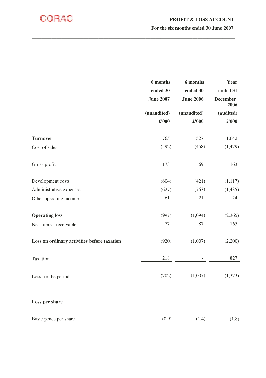

## **PROFIT & LOSS ACCOUNT For the six months ended 30 June 2007**

|                                             | 6 months         | 6 months         | Year                    |  |
|---------------------------------------------|------------------|------------------|-------------------------|--|
|                                             | ended 30         | ended 30         | ended 31                |  |
|                                             | <b>June 2007</b> | <b>June 2006</b> | <b>December</b><br>2006 |  |
|                                             | (unaudited)      | (unaudited)      | (audited)               |  |
|                                             | £'000            | £'000            | £'000                   |  |
| <b>Turnover</b>                             | 765              | 527              | 1,642                   |  |
| Cost of sales                               | (592)            | (458)            | (1, 479)                |  |
| Gross profit                                | 173              | 69               | 163                     |  |
| Development costs                           | (604)            | (421)            | (1, 117)                |  |
| Administrative expenses                     | (627)            | (763)            | (1, 435)                |  |
| Other operating income                      | 61               | 21               | 24                      |  |
| <b>Operating loss</b>                       | (997)            | (1,094)          | (2,365)                 |  |
| Net interest receivable                     | 77               | 87               | 165                     |  |
| Loss on ordinary activities before taxation | (920)            | (1,007)          | (2,200)                 |  |
| Taxation                                    | 218              |                  | 827                     |  |
| Loss for the period                         | (702)            | (1,007)          | (1,373)                 |  |
| Loss per share                              |                  |                  |                         |  |
| Basic pence per share                       | (0.9)            | (1.4)            | (1.8)                   |  |

**\_**\_\_\_\_\_\_\_\_\_\_\_\_\_\_\_\_\_\_\_\_\_\_\_\_\_\_\_\_\_\_\_\_\_\_\_\_\_\_\_\_\_\_\_\_\_\_\_\_\_\_\_\_\_\_\_\_\_\_\_\_\_\_\_\_\_\_\_\_\_\_\_\_\_\_\_\_\_\_\_\_\_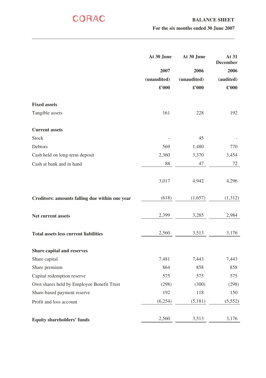|                                                | At 30 June  | At 30 June    | At 31<br><b>December</b> |
|------------------------------------------------|-------------|---------------|--------------------------|
|                                                | 2007        | 2006          | 2006                     |
|                                                | (unaudited) | (unaudited)   | (audited)                |
|                                                | £'000       | $\pounds 000$ | $\pounds 000$            |
| <b>Fixed assets</b>                            |             |               |                          |
| Tangible assets                                | 161         | 228           | 192                      |
| <b>Current assets</b>                          |             |               |                          |
| Stock                                          |             | 45            |                          |
| Debtors                                        | 569         | 1,480         | 770                      |
| Cash held on long-term deposit                 | 2,360       | 3,370         | 3,454                    |
| Cash at bank and in hand                       | 88          | 47            | 72                       |
|                                                | 3,017       | 4,942         | 4,296                    |
| Creditors: amounts falling due within one year | (618)       | (1,657)       | (1,312)                  |
| <b>Net current assets</b>                      | 2,399       | 3,285         | 2,984                    |
| <b>Total assets less current liabilities</b>   | 2,560       | 3,513         | 3,176                    |
| Share capital and reserves                     |             |               |                          |
| Share capital                                  | 7,481       | 7,443         | 7,443                    |
| Share premium                                  | 864         | 858           | 858                      |
| Capital redemption reserve                     | 575         | 575           | 575                      |
| Own shares held by Employee Benefit Trust      | (298)       | (300)         | (298)                    |
| Share-based payment reserve                    | 192         | 118           | 150                      |
| Profit and loss account                        | (6,254)     | (5,181)       | (5,552)                  |
| <b>Equity shareholders' funds</b>              | 2,560       | 3,513         | 3,176                    |

\_\_\_\_\_\_\_\_\_\_\_\_\_\_\_\_\_\_\_\_\_\_\_\_\_\_\_\_\_\_\_\_\_\_\_\_\_\_\_\_\_\_\_\_\_\_\_\_\_\_\_\_\_\_\_\_\_\_\_\_\_\_\_\_\_\_\_\_\_\_\_\_\_\_\_\_\_\_\_\_\_\_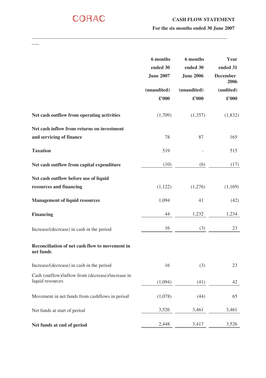

\_\_\_

## CORAC CASH FLOW STATEMENT

 **For the six months ended 30 June 2007** 

|                                                                        | 6 months<br>ended 30<br><b>June 2007</b><br>(unaudited)<br>$\pounds 000$ | 6 months<br>ended 30<br><b>June 2006</b><br>(unaudited)<br>£'000 | Year<br>ended 31<br><b>December</b><br>2006<br>(audited)<br>£'000 |
|------------------------------------------------------------------------|--------------------------------------------------------------------------|------------------------------------------------------------------|-------------------------------------------------------------------|
| Net cash outflow from operating activities                             | (1,709)                                                                  | (1,357)                                                          | (1,832)                                                           |
| Net cash inflow from returns on investment<br>and servicing of finance | 78                                                                       | 87                                                               | 165                                                               |
| <b>Taxation</b>                                                        | 519                                                                      |                                                                  | 515                                                               |
| Net cash outflow from capital expenditure                              | (10)                                                                     | (6)                                                              | (17)                                                              |
| Net cash outflow before use of liquid<br>resources and financing       | (1, 122)                                                                 | (1,276)                                                          | (1,169)                                                           |
| <b>Management of liquid resources</b>                                  | 1,094                                                                    | 41                                                               | (42)                                                              |
| <b>Financing</b>                                                       | 44                                                                       | 1,232                                                            | 1,234                                                             |
| Increase/(decrease) in cash in the period                              | 16                                                                       | (3)                                                              | 23                                                                |
| Reconciliation of net cash flow to movement in<br>net funds            |                                                                          |                                                                  |                                                                   |
| Increase/(decrease) in cash in the period                              | 16                                                                       | (3)                                                              | 23                                                                |
| Cash (outflow)/inflow from (decrease)/increase in<br>liquid resources  | (1,094)                                                                  | (41)                                                             | 42                                                                |
| Movement in net funds from cashflows in period                         | (1,078)                                                                  | (44)                                                             | 65                                                                |
| Net funds at start of period                                           | 3,526                                                                    | 3,461                                                            | 3,461                                                             |
| Net funds at end of period                                             | 2,448                                                                    | 3,417                                                            | 3,526                                                             |

\_\_\_\_\_\_\_\_\_\_\_\_\_\_\_\_\_\_\_\_\_\_\_\_\_\_\_\_\_\_\_\_\_\_\_\_\_\_\_\_\_\_\_\_\_\_\_\_\_\_\_\_\_\_\_\_\_\_\_\_\_\_\_\_\_\_\_\_\_\_\_\_\_\_\_\_\_\_\_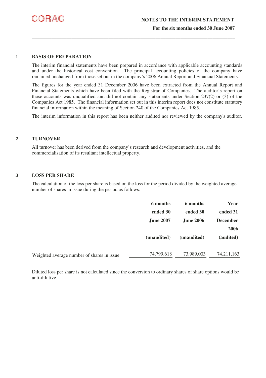

## **1 BASIS OF PREPARATION**

The interim financial statements have been prepared in accordance with applicable accounting standards and under the historical cost convention. The principal accounting policies of the company have remained unchanged from those set out in the company's 2006 Annual Report and Financial Statements.

\_\_\_\_\_\_\_\_\_\_\_\_\_\_\_\_\_\_\_\_\_\_\_\_\_\_\_\_\_\_\_\_\_\_\_\_\_\_\_\_\_\_\_\_\_\_\_\_\_\_\_\_\_\_\_\_\_\_\_\_\_\_\_\_\_\_\_\_\_\_\_\_\_\_\_\_\_\_\_\_\_\_

The figures for the year ended 31 December 2006 have been extracted from the Annual Report and Financial Statements which have been filed with the Registrar of Companies. The auditor's report on those accounts was unqualified and did not contain any statements under Section 237(2) or (3) of the Companies Act 1985. The financial information set out in this interim report does not constitute statutory financial information within the meaning of Section 240 of the Companies Act 1985.

The interim information in this report has been neither audited nor reviewed by the company's auditor.

## **2 TURNOVER**

All turnover has been derived from the company's research and development activities, and the commercialisation of its resultant intellectual property.

## **3 LOSS PER SHARE**

The calculation of the loss per share is based on the loss for the period divided by the weighted average number of shares in issue during the period as follows:

|                                             | 6 months         | 6 months         | Year            |
|---------------------------------------------|------------------|------------------|-----------------|
|                                             | ended 30         | ended 30         | ended 31        |
|                                             | <b>June 2007</b> | <b>June 2006</b> | <b>December</b> |
|                                             |                  |                  | 2006            |
|                                             | (unaudited)      | (unaudited)      | (audited)       |
|                                             |                  |                  |                 |
| Weighted average number of shares in issue. | 74,799,618       | 73,989,003       | 74, 211, 163    |

Diluted loss per share is not calculated since the conversion to ordinary shares of share options would be anti-dilutive.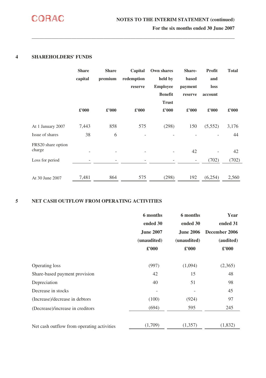

## **4 SHAREHOLDERS' FUNDS**

|                              | <b>Share</b> | <b>Share</b> | Capital    | Own shares      | Share-  | Profit  | <b>Total</b> |
|------------------------------|--------------|--------------|------------|-----------------|---------|---------|--------------|
|                              | capital      | premium      | redemption | held by         | based   | and     |              |
|                              |              |              | reserve    | <b>Employee</b> | payment | loss    |              |
|                              |              |              |            | <b>Benefit</b>  | reserve | account |              |
|                              |              |              |            | <b>Trust</b>    |         |         |              |
|                              | £'000        | £'000        | £'000      | £'000           | £'000   | £'000   | £'000        |
| At 1 January 2007            | 7,443        | 858          | 575        | (298)           | 150     | (5,552) | 3,176        |
| Issue of shares              | 38           | 6            |            |                 |         |         | 44           |
| FRS20 share option<br>charge |              |              |            |                 | 42      |         | 42           |
| Loss for period              |              |              |            |                 |         | (702)   | (702)        |
|                              |              |              |            |                 |         |         |              |
| At 30 June 2007              | 7,481        | 864          | 575        | (298)           | 192     | (6,254) | 2,560        |

\_\_\_\_\_\_\_\_\_\_\_\_\_\_\_\_\_\_\_\_\_\_\_\_\_\_\_\_\_\_\_\_\_\_\_\_\_\_\_\_\_\_\_\_\_\_\_\_\_\_\_\_\_\_\_\_\_\_\_\_\_\_\_\_\_\_\_\_\_\_\_\_\_\_\_\_\_\_\_\_\_\_

## **5 NET CASH OUTFLOW FROM OPERATING ACTIVITIES**

|                                            | 6 months<br>ended 30<br><b>June 2007</b><br>(unaudited)<br>£'000 | 6 months<br>ended 30<br><b>June 2006</b><br>(unaudited)<br>£'000 | Year<br>ended 31<br>December 2006<br>(audited)<br>£'000 |
|--------------------------------------------|------------------------------------------------------------------|------------------------------------------------------------------|---------------------------------------------------------|
|                                            |                                                                  |                                                                  |                                                         |
| Operating loss                             | (997)                                                            | (1,094)                                                          | (2,365)                                                 |
| Share-based payment provision              | 42                                                               | 15                                                               | 48                                                      |
| Depreciation                               | 40                                                               | 51                                                               | 98                                                      |
| Decrease in stocks                         |                                                                  |                                                                  | 45                                                      |
| (Increase)/decrease in debtors             | (100)                                                            | (924)                                                            | 97                                                      |
| (Decrease)/increase in creditors           | (694)                                                            | 595                                                              | 245                                                     |
| Net cash outflow from operating activities | (1,709)                                                          | (1,357)                                                          | (1, 832)                                                |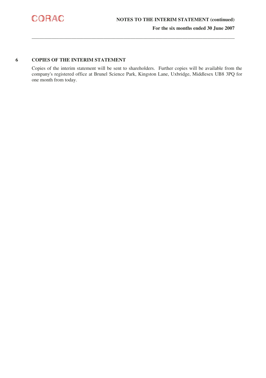

## **6 COPIES OF THE INTERIM STATEMENT**

Copies of the interim statement will be sent to shareholders. Further copies will be available from the company's registered office at Brunel Science Park, Kingston Lane, Uxbridge, Middlesex UB8 3PQ for one month from today.

\_\_\_\_\_\_\_\_\_\_\_\_\_\_\_\_\_\_\_\_\_\_\_\_\_\_\_\_\_\_\_\_\_\_\_\_\_\_\_\_\_\_\_\_\_\_\_\_\_\_\_\_\_\_\_\_\_\_\_\_\_\_\_\_\_\_\_\_\_\_\_\_\_\_\_\_\_\_\_\_\_\_